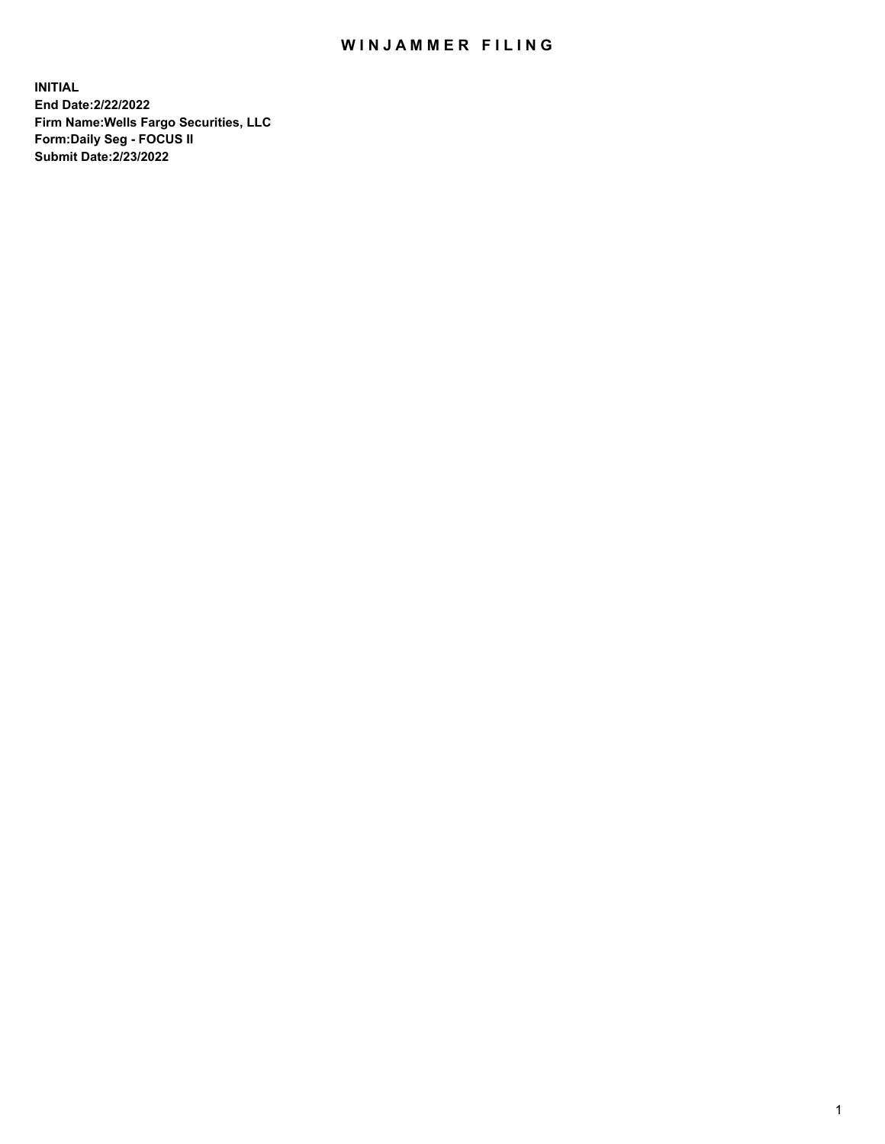## WIN JAMMER FILING

**INITIAL End Date:2/22/2022 Firm Name:Wells Fargo Securities, LLC Form:Daily Seg - FOCUS II Submit Date:2/23/2022**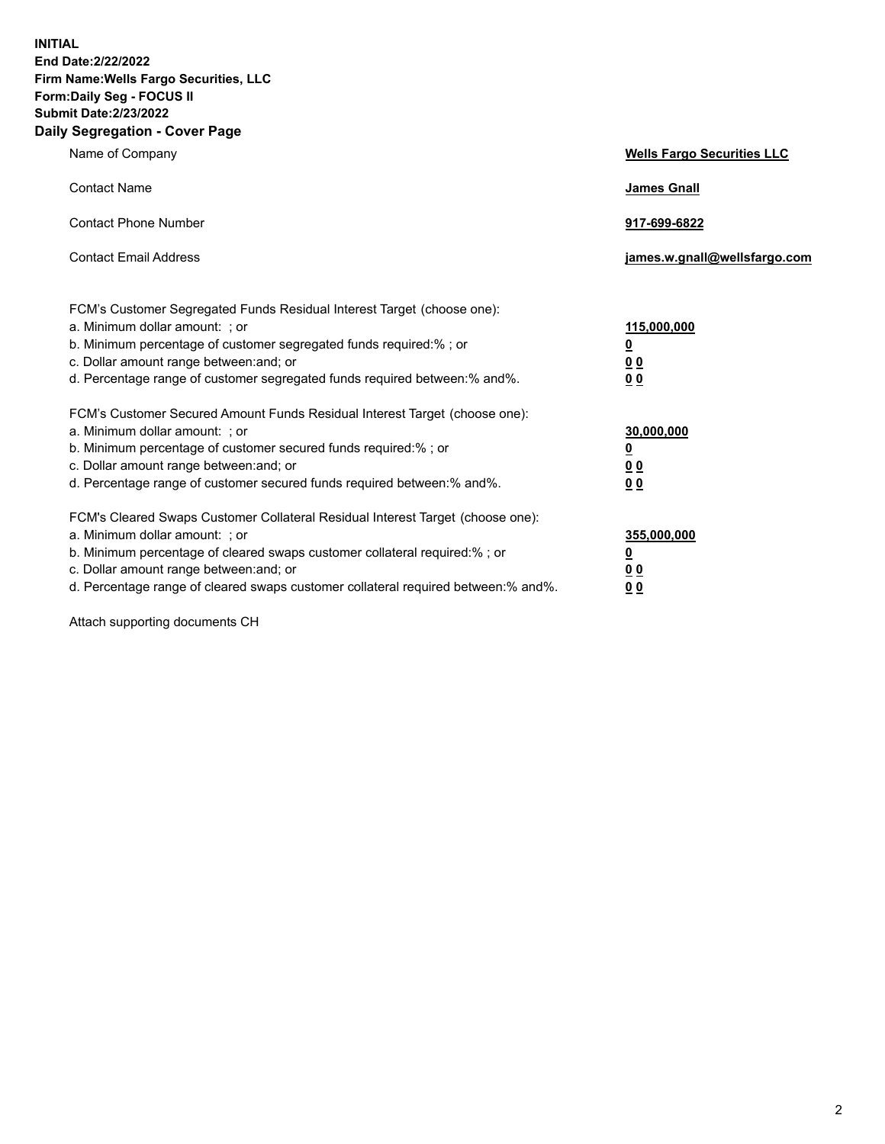**INITIAL End Date:2/22/2022 Firm Name:Wells Fargo Securities, LLC Form:Daily Seg - FOCUS II Submit Date:2/23/2022 Daily Segregation - Cover Page**

| Name of Company                                                                                                       | <b>Wells Fargo Securities LLC</b> |
|-----------------------------------------------------------------------------------------------------------------------|-----------------------------------|
| <b>Contact Name</b>                                                                                                   | <b>James Gnall</b>                |
|                                                                                                                       |                                   |
| <b>Contact Phone Number</b>                                                                                           | 917-699-6822                      |
|                                                                                                                       |                                   |
| <b>Contact Email Address</b>                                                                                          | james.w.gnall@wellsfargo.com      |
|                                                                                                                       |                                   |
| FCM's Customer Segregated Funds Residual Interest Target (choose one):                                                |                                   |
| a. Minimum dollar amount: ; or                                                                                        | 115,000,000                       |
| b. Minimum percentage of customer segregated funds required:% ; or                                                    | <u>0</u>                          |
| c. Dollar amount range between: and; or                                                                               | 00                                |
| d. Percentage range of customer segregated funds required between:% and%.                                             | 00                                |
| FCM's Customer Secured Amount Funds Residual Interest Target (choose one):                                            |                                   |
| a. Minimum dollar amount: ; or                                                                                        | 30,000,000                        |
| b. Minimum percentage of customer secured funds required:%; or                                                        | <u>0</u>                          |
| c. Dollar amount range between: and; or                                                                               | 00                                |
| d. Percentage range of customer secured funds required between: % and %.                                              | 0 <sub>0</sub>                    |
|                                                                                                                       |                                   |
| FCM's Cleared Swaps Customer Collateral Residual Interest Target (choose one):                                        |                                   |
| a. Minimum dollar amount: ; or                                                                                        | 355,000,000                       |
| b. Minimum percentage of cleared swaps customer collateral required:% ; or<br>c. Dollar amount range between: and; or | <u>0</u>                          |
| d. Percentage range of cleared swaps customer collateral required between:% and%.                                     | <u>00</u><br>00                   |
|                                                                                                                       |                                   |

Attach supporting documents CH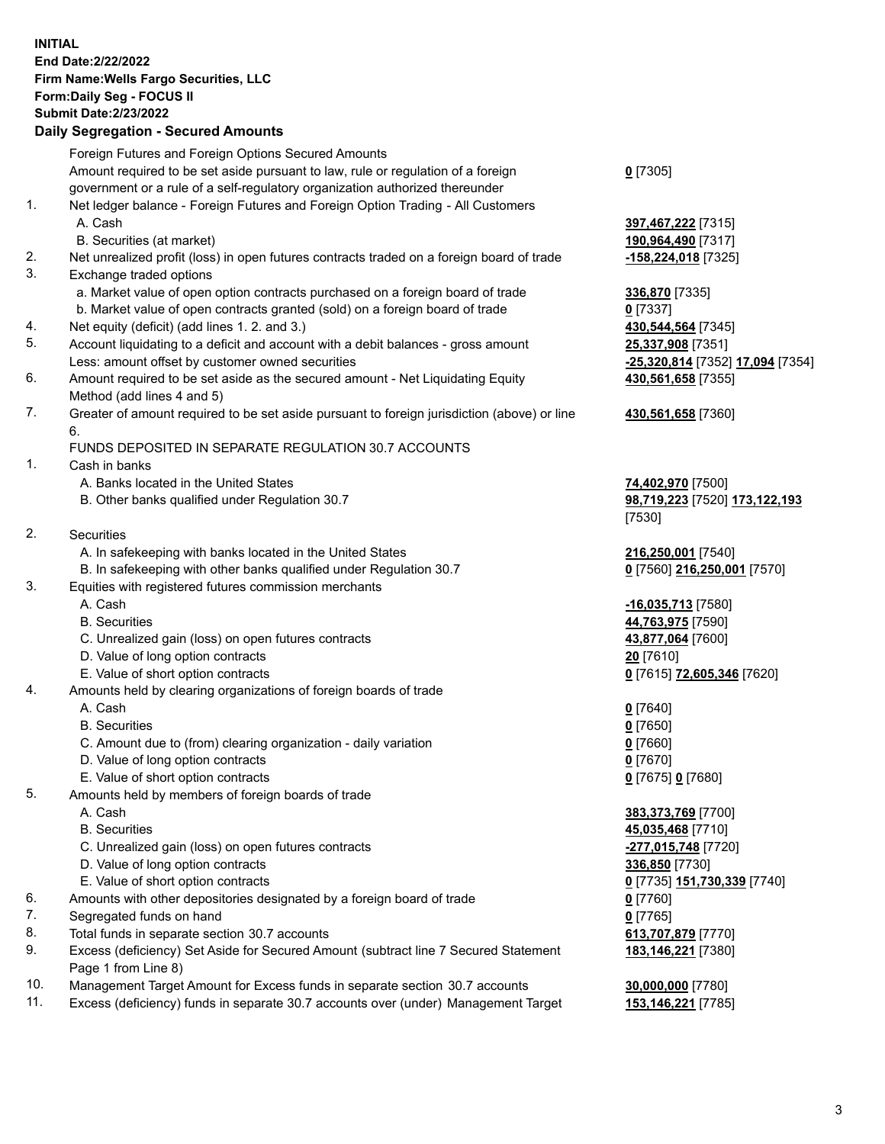**INITIAL End Date:2/22/2022 Firm Name:Wells Fargo Securities, LLC Form:Daily Seg - FOCUS II Submit Date:2/23/2022 Daily Segregation - Secured Amounts** Foreign Futures and Foreign Options Secured Amounts Amount required to be set aside pursuant to law, rule or regulation of a foreign government or a rule of a self-regulatory organization authorized thereunder 1. Net ledger balance - Foreign Futures and Foreign Option Trading - All Customers A. Cash **397,467,222** [7315] B. Securities (at market) **190,964,490** [7317] 2. Net unrealized profit (loss) in open futures contracts traded on a foreign board of trade **-158,224,018** [7325] 3. Exchange traded options a. Market value of open option contracts purchased on a foreign board of trade **336,870** [7335] b. Market value of open contracts granted (sold) on a foreign board of trade **0** [7337] 4. Net equity (deficit) (add lines 1. 2. and 3.) **430,544,564** [7345] 5. Account liquidating to a deficit and account with a debit balances - gross amount **25,337,908** [7351] Less: amount offset by customer owned securities **-25,320,814** [7352] **17,094** [7354] 6. Amount required to be set aside as the secured amount - Net Liquidating Equity Method (add lines 4 and 5) 7. Greater of amount required to be set aside pursuant to foreign jurisdiction (above) or line 6. FUNDS DEPOSITED IN SEPARATE REGULATION 30.7 ACCOUNTS 1. Cash in banks A. Banks located in the United States **74,402,970** [7500]

B. Other banks qualified under Regulation 30.7 **98,719,223** [7520] **173,122,193**

2. Securities

- A. In safekeeping with banks located in the United States **216,250,001** [7540]
- B. In safekeeping with other banks qualified under Regulation 30.7 **0** [7560] **216,250,001** [7570]
- 3. Equities with registered futures commission merchants
	-
	-
	- C. Unrealized gain (loss) on open futures contracts **43,877,064** [7600]
	- D. Value of long option contracts **20** [7610]
	- E. Value of short option contracts **0** [7615] **72,605,346** [7620]
- 4. Amounts held by clearing organizations of foreign boards of trade

## A. Cash **0** [7640]

- B. Securities **0** [7650]
- C. Amount due to (from) clearing organization daily variation **0** [7660]
- D. Value of long option contracts **0** [7670]
- E. Value of short option contracts **0** [7675] **0** [7680]
- 5. Amounts held by members of foreign boards of trade
	-
	-
	- C. Unrealized gain (loss) on open futures contracts **-277,015,748** [7720]
	- D. Value of long option contracts **336,850** [7730]
	- E. Value of short option contracts **0** [7735] **151,730,339** [7740]
- 6. Amounts with other depositories designated by a foreign board of trade **0** [7760]
- 7. Segregated funds on hand **0** [7765]
- 8. Total funds in separate section 30.7 accounts **613,707,879** [7770]
- 9. Excess (deficiency) Set Aside for Secured Amount (subtract line 7 Secured Statement Page 1 from Line 8)
- 10. Management Target Amount for Excess funds in separate section 30.7 accounts **30,000,000** [7780]
- 11. Excess (deficiency) funds in separate 30.7 accounts over (under) Management Target **153,146,221** [7785]

**0** [7305]

**430,561,658** [7355]

## **430,561,658** [7360]

[7530]

 A. Cash **-16,035,713** [7580] B. Securities **44,763,975** [7590]

 A. Cash **383,373,769** [7700] B. Securities **45,035,468** [7710] **183,146,221** [7380]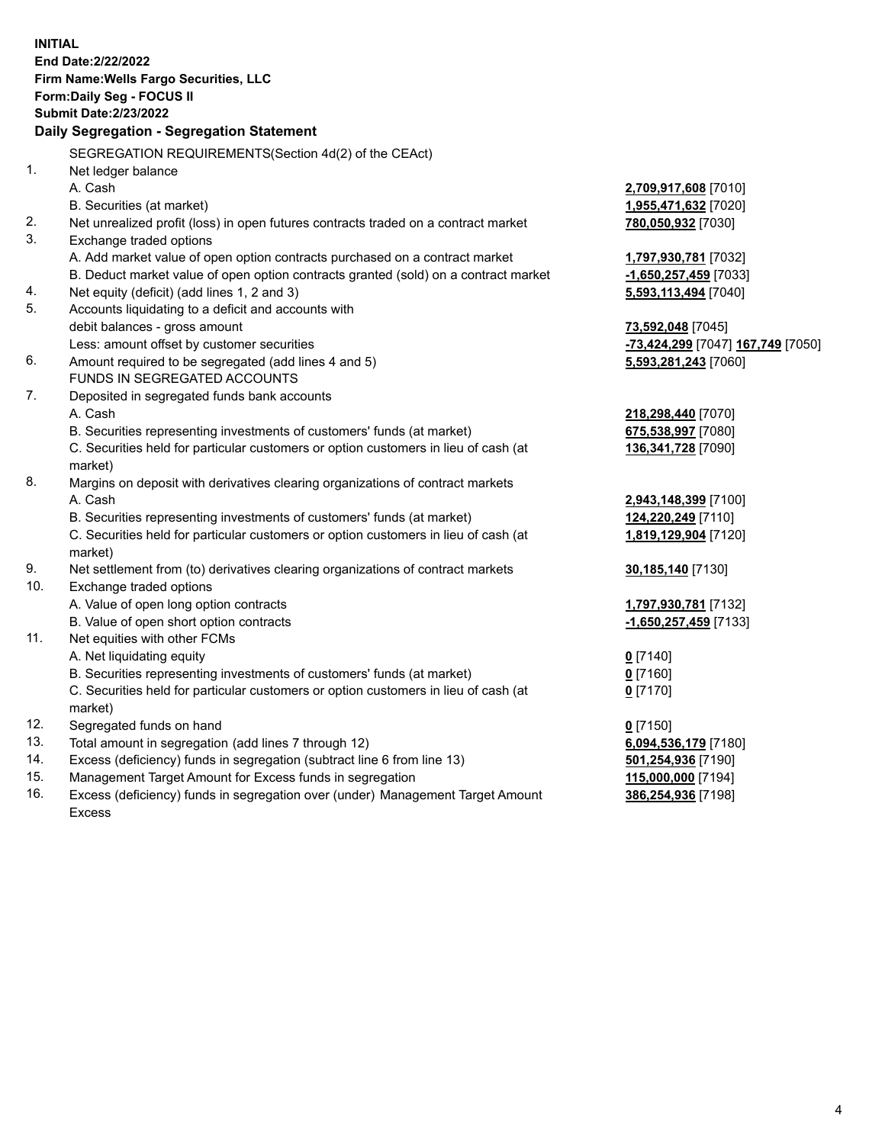**INITIAL End Date:2/22/2022 Firm Name:Wells Fargo Securities, LLC Form:Daily Seg - FOCUS II Submit Date:2/23/2022 Daily Segregation - Segregation Statement** SEGREGATION REQUIREMENTS(Section 4d(2) of the CEAct) 1. Net ledger balance A. Cash **2,709,917,608** [7010] B. Securities (at market) **1,955,471,632** [7020] 2. Net unrealized profit (loss) in open futures contracts traded on a contract market **780,050,932** [7030] 3. Exchange traded options A. Add market value of open option contracts purchased on a contract market **1,797,930,781** [7032] B. Deduct market value of open option contracts granted (sold) on a contract market **-1,650,257,459** [7033] 4. Net equity (deficit) (add lines 1, 2 and 3) **5,593,113,494** [7040] 5. Accounts liquidating to a deficit and accounts with debit balances - gross amount **73,592,048** [7045] Less: amount offset by customer securities **-73,424,299** [7047] **167,749** [7050] 6. Amount required to be segregated (add lines 4 and 5) **5,593,281,243** [7060] FUNDS IN SEGREGATED ACCOUNTS 7. Deposited in segregated funds bank accounts A. Cash **218,298,440** [7070] B. Securities representing investments of customers' funds (at market) **675,538,997** [7080] C. Securities held for particular customers or option customers in lieu of cash (at market) **136,341,728** [7090] 8. Margins on deposit with derivatives clearing organizations of contract markets A. Cash **2,943,148,399** [7100] B. Securities representing investments of customers' funds (at market) **124,220,249** [7110] C. Securities held for particular customers or option customers in lieu of cash (at market) **1,819,129,904** [7120] 9. Net settlement from (to) derivatives clearing organizations of contract markets **30,185,140** [7130] 10. Exchange traded options A. Value of open long option contracts **1,797,930,781** [7132] B. Value of open short option contracts **-1,650,257,459** [7133] 11. Net equities with other FCMs A. Net liquidating equity **0** [7140] B. Securities representing investments of customers' funds (at market) **0** [7160] C. Securities held for particular customers or option customers in lieu of cash (at market) **0** [7170] 12. Segregated funds on hand **0** [7150] 13. Total amount in segregation (add lines 7 through 12) **6,094,536,179** [7180] 14. Excess (deficiency) funds in segregation (subtract line 6 from line 13) **501,254,936** [7190] 15. Management Target Amount for Excess funds in segregation **115,000,000** [7194] 16. Excess (deficiency) funds in segregation over (under) Management Target Amount Excess **386,254,936** [7198]